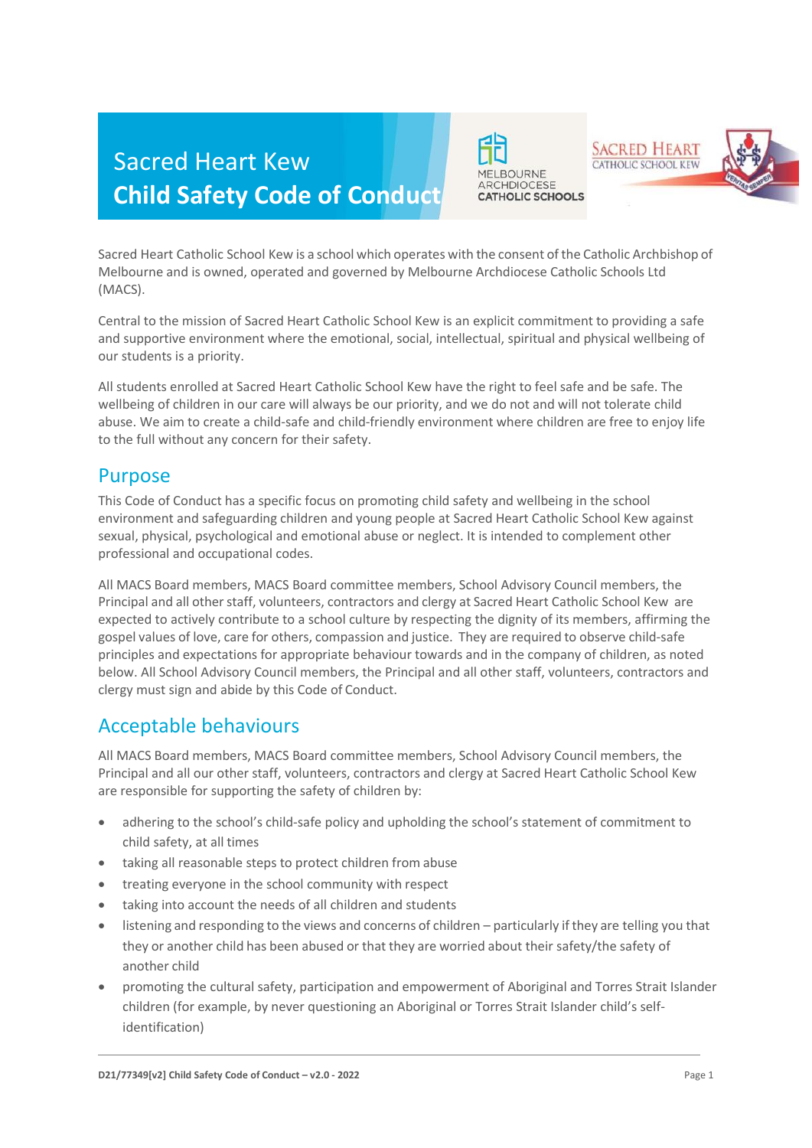# Sacred Heart Kew **Child Safety Code of Conduct**



**SACRED HEART** CATHOLIC SCHOOL KEW



Sacred Heart Catholic School Kew is a school which operates with the consent of the Catholic Archbishop of Melbourne and is owned, operated and governed by Melbourne Archdiocese Catholic Schools Ltd (MACS).

Central to the mission of Sacred Heart Catholic School Kew is an explicit commitment to providing a safe and supportive environment where the emotional, social, intellectual, spiritual and physical wellbeing of our students is a priority.

All students enrolled at Sacred Heart Catholic School Kew have the right to feel safe and be safe. The wellbeing of children in our care will always be our priority, and we do not and will not tolerate child abuse. We aim to create a child-safe and child-friendly environment where children are free to enjoy life to the full without any concern for their safety.

#### Purpose

This Code of Conduct has a specific focus on promoting child safety and wellbeing in the school environment and safeguarding children and young people at Sacred Heart Catholic School Kew against sexual, physical, psychological and emotional abuse or neglect. It is intended to complement other professional and occupational codes.

All MACS Board members, MACS Board committee members, School Advisory Council members, the Principal and all other staff, volunteers, contractors and clergy at Sacred Heart Catholic School Kew are expected to actively contribute to a school culture by respecting the dignity of its members, affirming the gospel values of love, care for others, compassion and justice. They are required to observe child-safe principles and expectations for appropriate behaviour towards and in the company of children, as noted below. All School Advisory Council members, the Principal and all other staff, volunteers, contractors and clergy must sign and abide by this Code of Conduct.

# Acceptable behaviours

All MACS Board members, MACS Board committee members, School Advisory Council members, the Principal and all our other staff, volunteers, contractors and clergy at Sacred Heart Catholic School Kew are responsible for supporting the safety of children by:

- adhering to the school's child-safe policy and upholding the school's statement of commitment to child safety, at all times
- taking all reasonable steps to protect children from abuse
- treating everyone in the school community with respect
- taking into account the needs of all children and students
- listening and responding to the views and concerns of children particularly if they are telling you that they or another child has been abused or that they are worried about their safety/the safety of another child
- promoting the cultural safety, participation and empowerment of Aboriginal and Torres Strait Islander children (for example, by never questioning an Aboriginal or Torres Strait Islander child's selfidentification)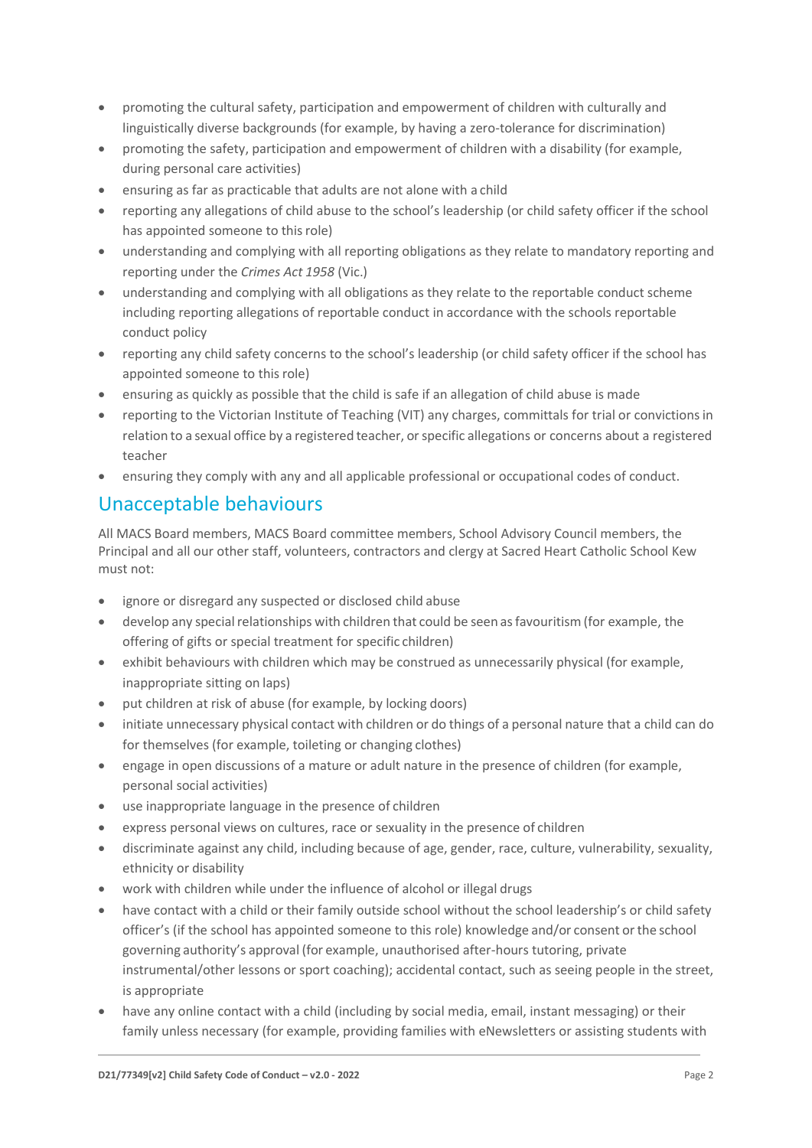- promoting the cultural safety, participation and empowerment of children with culturally and linguistically diverse backgrounds (for example, by having a zero-tolerance for discrimination)
- promoting the safety, participation and empowerment of children with a disability (for example, during personal care activities)
- ensuring as far as practicable that adults are not alone with a child
- reporting any allegations of child abuse to the school's leadership (or child safety officer if the school has appointed someone to thisrole)
- understanding and complying with all reporting obligations as they relate to mandatory reporting and reporting under the *Crimes Act 1958* (Vic.)
- understanding and complying with all obligations as they relate to the reportable conduct scheme including reporting allegations of reportable conduct in accordance with the schools reportable conduct policy
- reporting any child safety concerns to the school's leadership (or child safety officer if the school has appointed someone to this role)
- ensuring as quickly as possible that the child is safe if an allegation of child abuse is made
- reporting to the Victorian Institute of Teaching (VIT) any charges, committals for trial or convictionsin relation to a sexual office by a registered teacher, or specific allegations or concerns about a registered teacher
- ensuring they comply with any and all applicable professional or occupational codes of conduct.

## Unacceptable behaviours

All MACS Board members, MACS Board committee members, School Advisory Council members, the Principal and all our other staff, volunteers, contractors and clergy at Sacred Heart Catholic School Kew must not:

- ignore or disregard any suspected or disclosed child abuse
- develop any special relationships with children that could be seen as favouritism (for example, the offering of gifts or special treatment for specific children)
- exhibit behaviours with children which may be construed as unnecessarily physical (for example, inappropriate sitting on laps)
- put children at risk of abuse (for example, by locking doors)
- initiate unnecessary physical contact with children or do things of a personal nature that a child can do for themselves (for example, toileting or changing clothes)
- engage in open discussions of a mature or adult nature in the presence of children (for example, personal social activities)
- use inappropriate language in the presence of children
- express personal views on cultures, race or sexuality in the presence of children
- discriminate against any child, including because of age, gender, race, culture, vulnerability, sexuality, ethnicity or disability
- work with children while under the influence of alcohol or illegal drugs
- have contact with a child or their family outside school without the school leadership's or child safety officer's (if the school has appointed someone to this role) knowledge and/or consent orthe school governing authority's approval (for example, unauthorised after-hours tutoring, private instrumental/other lessons or sport coaching); accidental contact, such as seeing people in the street, is appropriate
- have any online contact with a child (including by social media, email, instant messaging) or their family unless necessary (for example, providing families with eNewsletters or assisting students with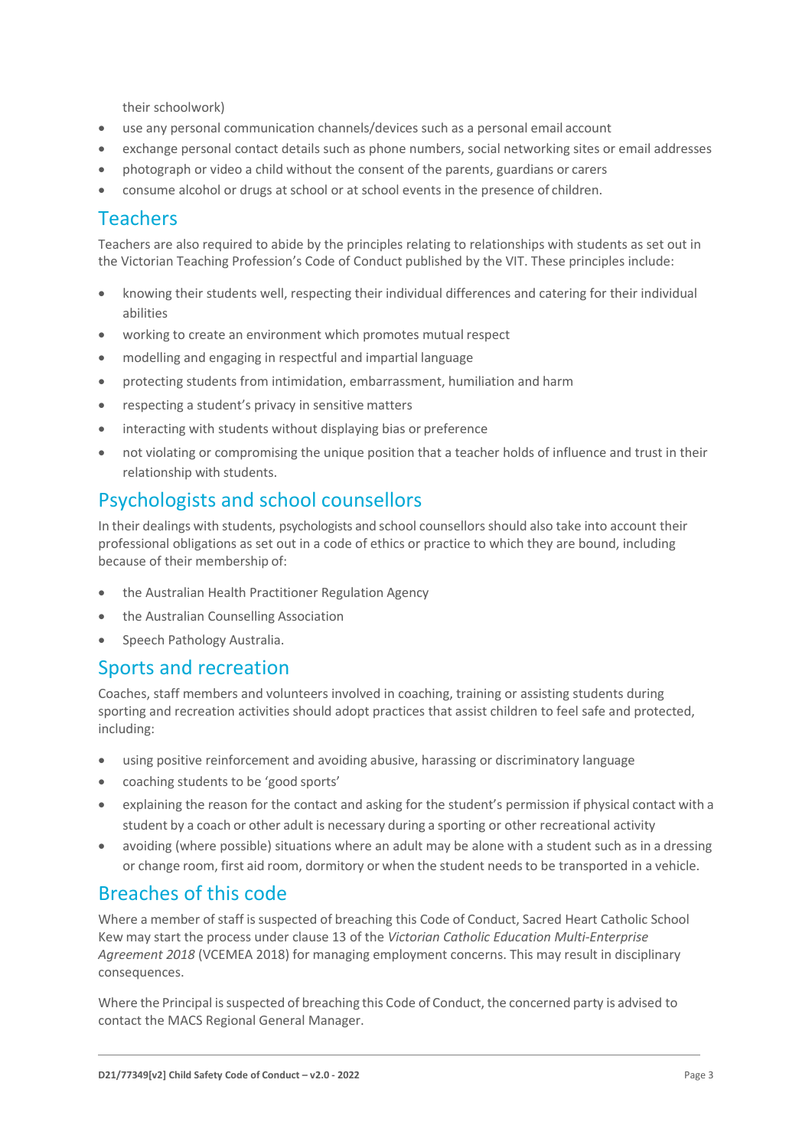their schoolwork)

- use any personal communication channels/devices such as a personal email account
- exchange personal contact details such as phone numbers, social networking sites or email addresses
- photograph or video a child without the consent of the parents, guardians or carers
- consume alcohol or drugs at school or at school events in the presence of children.

#### Teachers

Teachers are also required to abide by the principles relating to relationships with students as set out in the Victorian Teaching Profession's Code of Conduct published by the VIT. These principles include:

- knowing their students well, respecting their individual differences and catering for their individual abilities
- working to create an environment which promotes mutual respect
- modelling and engaging in respectful and impartial language
- protecting students from intimidation, embarrassment, humiliation and harm
- respecting a student's privacy in sensitive matters
- interacting with students without displaying bias or preference
- not violating or compromising the unique position that a teacher holds of influence and trust in their relationship with students.

## Psychologists and school counsellors

In their dealings with students, psychologists and school counsellorsshould also take into account their professional obligations as set out in a code of ethics or practice to which they are bound, including because of their membership of:

- the Australian Health Practitioner Regulation Agency
- the Australian Counselling Association
- Speech Pathology Australia.

#### Sports and recreation

Coaches, staff members and volunteers involved in coaching, training or assisting students during sporting and recreation activities should adopt practices that assist children to feel safe and protected, including:

- using positive reinforcement and avoiding abusive, harassing or discriminatory language
- coaching students to be 'good sports'
- explaining the reason for the contact and asking for the student's permission if physical contact with a student by a coach or other adult is necessary during a sporting or other recreational activity
- avoiding (where possible) situations where an adult may be alone with a student such as in a dressing or change room, first aid room, dormitory or when the student needsto be transported in a vehicle.

## Breaches of this code

Where a member of staff is suspected of breaching this Code of Conduct, Sacred Heart Catholic School Kew may start the process under clause 13 of the *Victorian Catholic Education Multi-Enterprise Agreement 2018* (VCEMEA 2018) for managing employment concerns. This may result in disciplinary consequences.

Where the Principal is suspected of breaching this Code of Conduct, the concerned party is advised to contact the MACS Regional General Manager.